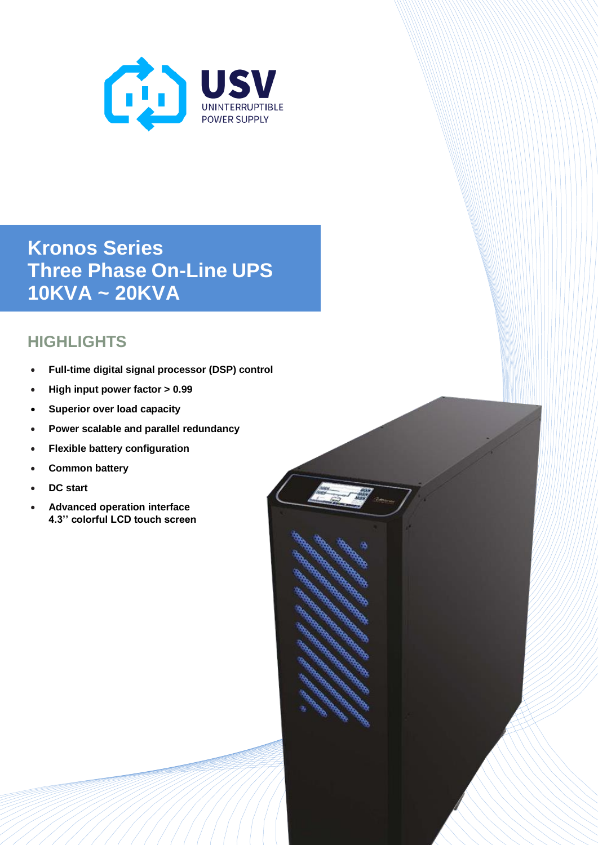

**Kronos Series Three Phase On-Line UPS 10KVA ~ 20KVA**

## **HIGHLIGHTS**

- **Full-time digital signal processor (DSP) control**
- **High input power factor > 0.99**
- **Superior over load capacity**
- **Power scalable and parallel redundancy**
- **Flexible battery configuration**
- **Common battery**
- **DC start**
- **Advanced operation interface 4.3'' colorful LCD touch screen**